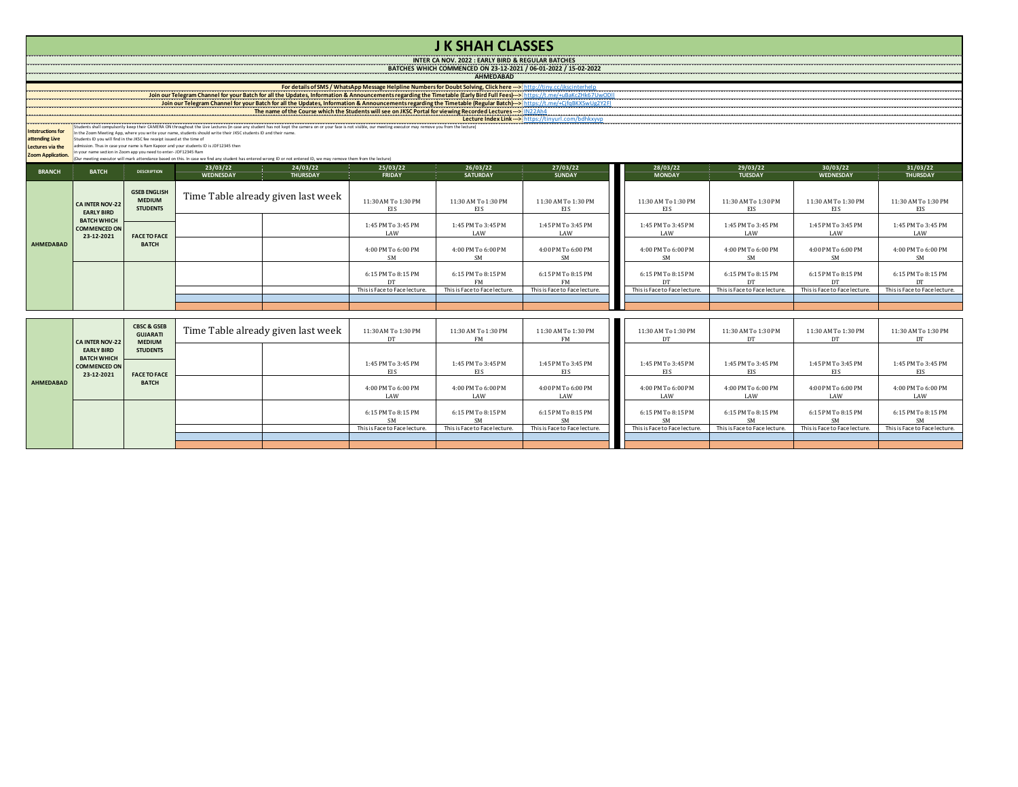| <b>J K SHAH CLASSES</b>                                                                                                                                                                                                                                                                                                                                        |                                                                                                                                                                                                                                    |                                                                               |                                    |                                    |                               |                               |                               |                               |                               |                               |                               |  |
|----------------------------------------------------------------------------------------------------------------------------------------------------------------------------------------------------------------------------------------------------------------------------------------------------------------------------------------------------------------|------------------------------------------------------------------------------------------------------------------------------------------------------------------------------------------------------------------------------------|-------------------------------------------------------------------------------|------------------------------------|------------------------------------|-------------------------------|-------------------------------|-------------------------------|-------------------------------|-------------------------------|-------------------------------|-------------------------------|--|
| INTER CA NOV. 2022 : EARLY BIRD & REGULAR BATCHES                                                                                                                                                                                                                                                                                                              |                                                                                                                                                                                                                                    |                                                                               |                                    |                                    |                               |                               |                               |                               |                               |                               |                               |  |
| BATCHES WHICH COMMENCED ON 23-12-2021 / 06-01-2022 / 15-02-2022<br><b>AHMEDABAD</b>                                                                                                                                                                                                                                                                            |                                                                                                                                                                                                                                    |                                                                               |                                    |                                    |                               |                               |                               |                               |                               |                               |                               |  |
| For details of SMS / WhatsApp Message Helpline Numbers for Doubt Solving, Click here ---> http://tiny.cc/jkscinterhelp                                                                                                                                                                                                                                         |                                                                                                                                                                                                                                    |                                                                               |                                    |                                    |                               |                               |                               |                               |                               |                               |                               |  |
| Join our Telegram Channel for your Batch for all the Updates, Information & Announcements regarding the Timetable (Early Bird Full Fees) and the United Structure (1997). The numerical technology of the Updates, Information                                                                                                                                 |                                                                                                                                                                                                                                    |                                                                               |                                    |                                    |                               |                               |                               |                               |                               |                               |                               |  |
|                                                                                                                                                                                                                                                                                                                                                                |                                                                                                                                                                                                                                    |                                                                               |                                    |                                    |                               |                               |                               |                               |                               |                               |                               |  |
|                                                                                                                                                                                                                                                                                                                                                                |                                                                                                                                                                                                                                    |                                                                               |                                    |                                    |                               |                               |                               |                               |                               |                               |                               |  |
| tudents shall compulsorily keep their CAMERA ON throughout the Live Lectures (in case any student has not kept the camera on or your face is not visible, our meeting executor may remove you from the lecture)<br><b>Intstructions for</b><br>n the Zoom Meeting App, where you write your name, students should write their JKSC students ID and their name. |                                                                                                                                                                                                                                    |                                                                               |                                    |                                    |                               |                               |                               |                               |                               |                               |                               |  |
| attending Live<br>Lectures via the                                                                                                                                                                                                                                                                                                                             | tudents ID you will find in the JKSC fee receipt issued at the time of<br>dmission. Thus in case your name is Ram Kapoor and your students ID is JDF12345 then                                                                     |                                                                               |                                    |                                    |                               |                               |                               |                               |                               |                               |                               |  |
| Zoom Application.                                                                                                                                                                                                                                                                                                                                              | your name section in Zoom app you need to enter-JDF12345 Ram<br>(Our meeting executor will mark attendance based on this. In case we find any student has entered wrong ID or not entered ID, we may remove them from the lecture) |                                                                               |                                    |                                    |                               |                               |                               |                               |                               |                               |                               |  |
| <b>BRANCH</b>                                                                                                                                                                                                                                                                                                                                                  | 23/03/22<br>24/03/22<br>25/03/22<br>26/03/22<br>29/03/22<br>30/03/22<br>31/03/22<br>27/03/22<br>28/03/22<br><b>BATCH</b><br><b>DESCRIPTION</b>                                                                                     |                                                                               |                                    |                                    |                               |                               |                               |                               |                               |                               |                               |  |
|                                                                                                                                                                                                                                                                                                                                                                |                                                                                                                                                                                                                                    |                                                                               | <b>WEDNESDAY</b>                   | <b>THURSDAY</b>                    | <b>FRIDAY</b>                 | <b>SATURDAY</b>               | <b>SUNDAY</b>                 | <b>MONDAY</b>                 | <b>TUESDAY</b>                | <b>WEDNESDAY</b>              | <b>THURSDAY</b>               |  |
| <b>AHMEDABAD</b>                                                                                                                                                                                                                                                                                                                                               | <b>CA INTER NOV-22</b><br><b>EARLY BIRD</b><br><b>BATCH WHICH</b><br><b>COMMENCED ON</b><br>23-12-2021                                                                                                                             | <b>GSEB ENGLISH</b><br><b>MEDIUM</b><br><b>STUDENTS</b>                       |                                    |                                    |                               |                               |                               |                               |                               |                               |                               |  |
|                                                                                                                                                                                                                                                                                                                                                                |                                                                                                                                                                                                                                    |                                                                               | Time Table already given last week |                                    | 11:30 AM To 1:30 PM           | 11:30 AM To 1:30 PM           | 11:30 AM To 1:30 PM           | 11:30 AM To 1:30 PM           | 11:30 AM To 1:30 PM           | 11:30 AM To 1:30 PM           | 11:30 AM To 1:30 PM           |  |
|                                                                                                                                                                                                                                                                                                                                                                |                                                                                                                                                                                                                                    |                                                                               |                                    |                                    | EIS.                          | EIS                           | EIS.                          | EIS.                          | <b>EIS</b>                    | <b>EIS</b>                    | EIS.                          |  |
|                                                                                                                                                                                                                                                                                                                                                                |                                                                                                                                                                                                                                    |                                                                               |                                    |                                    | 1:45 PM To 3:45 PM            | 1:45 PM To 3:45 PM            | 1:45 PM To 3:45 PM            | 1:45 PM To 3:45 PM            | 1:45 PM To 3:45 PM            | 1:45 PM To 3:45 PM            | 1:45 PM To 3:45 PM            |  |
|                                                                                                                                                                                                                                                                                                                                                                |                                                                                                                                                                                                                                    | <b>FACE TO FACE</b><br><b>BATCH</b>                                           |                                    |                                    | LAW                           | LAW                           | LAW                           | LAW                           | LAW                           | LAW                           | LAW                           |  |
|                                                                                                                                                                                                                                                                                                                                                                |                                                                                                                                                                                                                                    |                                                                               |                                    |                                    | 4:00 PM To 6:00 PM            | 4:00 PM To 6:00 PM            | 4:00 PM To 6:00 PM            | 4:00 PM To 6:00 PM            | 4:00 PM To 6:00 PM            | 4:00 PM To 6:00 PM            | 4:00 PM To 6:00 PM            |  |
|                                                                                                                                                                                                                                                                                                                                                                |                                                                                                                                                                                                                                    |                                                                               |                                    |                                    | SM                            | SM                            | <b>SM</b>                     | <b>SM</b>                     | <b>SM</b>                     | <b>SM</b>                     | SM                            |  |
|                                                                                                                                                                                                                                                                                                                                                                |                                                                                                                                                                                                                                    |                                                                               |                                    |                                    | 6:15 PM To 8:15 PM            | 6:15 PM To 8:15 PM            | 6:15 PM To 8:15 PM            | 6:15 PM To 8:15 PM            | 6:15 PM To 8:15 PM            | 6:15 PM To 8:15 PM            | 6:15 PM To 8:15 PM            |  |
|                                                                                                                                                                                                                                                                                                                                                                |                                                                                                                                                                                                                                    |                                                                               |                                    |                                    | DT                            | <b>FM</b>                     | FM                            | <b>DT</b>                     | DT                            | DT                            | <b>DT</b>                     |  |
|                                                                                                                                                                                                                                                                                                                                                                |                                                                                                                                                                                                                                    |                                                                               |                                    |                                    | This is Face to Face lecture. | This is Face to Face lecture. | This is Face to Face lecture. | This is Face to Face lecture. | This is Face to Face lecture. | This is Face to Face lecture  | This is Face to Face lecture. |  |
|                                                                                                                                                                                                                                                                                                                                                                |                                                                                                                                                                                                                                    |                                                                               |                                    |                                    |                               |                               |                               |                               |                               |                               |                               |  |
|                                                                                                                                                                                                                                                                                                                                                                |                                                                                                                                                                                                                                    |                                                                               |                                    |                                    |                               |                               |                               |                               |                               |                               |                               |  |
|                                                                                                                                                                                                                                                                                                                                                                | <b>CA INTER NOV-22</b><br><b>EARLY BIRD</b><br><b>BATCH WHICH</b><br><b>COMMENCED ON</b><br>23-12-2021                                                                                                                             | <b>CBSC &amp; GSEB</b><br><b>GUJARATI</b><br><b>MEDIUM</b><br><b>STUDENTS</b> |                                    | Time Table already given last week | 11:30 AM To 1:30 PM           | 11:30 AM To 1:30 PM           | 11:30 AM To 1:30 PM           | 11:30 AM To 1:30 PM           | 11:30 AM To 1:30 PM           | 11:30 AM To 1:30 PM           | 11:30 AM To 1:30 PM           |  |
|                                                                                                                                                                                                                                                                                                                                                                |                                                                                                                                                                                                                                    |                                                                               |                                    |                                    | DT                            | <b>FM</b>                     | FM                            | DT                            | DT                            | DT                            | DT                            |  |
|                                                                                                                                                                                                                                                                                                                                                                |                                                                                                                                                                                                                                    |                                                                               |                                    |                                    |                               |                               |                               |                               |                               |                               |                               |  |
| <b>AHMEDABAD</b>                                                                                                                                                                                                                                                                                                                                               |                                                                                                                                                                                                                                    | <b>FACE TO FACE</b><br><b>BATCH</b>                                           |                                    |                                    | 1:45 PM To 3:45 PM            | 1:45 PM To 3:45 PM            | 1:45 PM To 3:45 PM            | 1:45 PM To 3:45 PM            | 1:45 PM To 3:45 PM            | 1:45 PM To 3:45 PM            | 1:45 PM To 3:45 PM            |  |
|                                                                                                                                                                                                                                                                                                                                                                |                                                                                                                                                                                                                                    |                                                                               |                                    |                                    | EIS                           | EIS                           | <b>EIS</b>                    | <b>EIS</b>                    | EIS                           | EIS                           | EIS                           |  |
|                                                                                                                                                                                                                                                                                                                                                                |                                                                                                                                                                                                                                    |                                                                               |                                    |                                    | 4:00 PM To 6:00 PM            | 4:00 PM To 6:00 PM            | 4:00 PM To 6:00 PM            | 4:00 PM To 6:00 PM            | 4:00 PM To 6:00 PM            | 4:00 PM To 6:00 PM            | 4:00 PM To 6:00 PM            |  |
|                                                                                                                                                                                                                                                                                                                                                                |                                                                                                                                                                                                                                    |                                                                               |                                    |                                    | LAW                           | LAW                           | LAW                           | LAW                           | LAW                           | LAW                           | LAW                           |  |
|                                                                                                                                                                                                                                                                                                                                                                |                                                                                                                                                                                                                                    |                                                                               |                                    |                                    | 6:15 PM To 8:15 PM            | 6:15 PM To 8:15 PM            | 6:15 PM To 8:15 PM            | 6:15 PM To 8:15 PM            | 6:15 PM To 8:15 PM            | 6:15 PM To 8:15 PM            | 6:15 PM To 8:15 PM            |  |
|                                                                                                                                                                                                                                                                                                                                                                |                                                                                                                                                                                                                                    |                                                                               |                                    |                                    | <b>SM</b>                     | <b>SM</b>                     | <b>SM</b>                     | <b>SM</b>                     | <b>SM</b>                     | <b>SM</b>                     | <b>SM</b>                     |  |
|                                                                                                                                                                                                                                                                                                                                                                |                                                                                                                                                                                                                                    |                                                                               |                                    |                                    | This is Face to Face lecture. | This is Face to Face lecture. | This is Face to Face lecture. | This is Face to Face lecture. | This is Face to Face lecture. | This is Face to Face lecture. | This is Face to Face lecture. |  |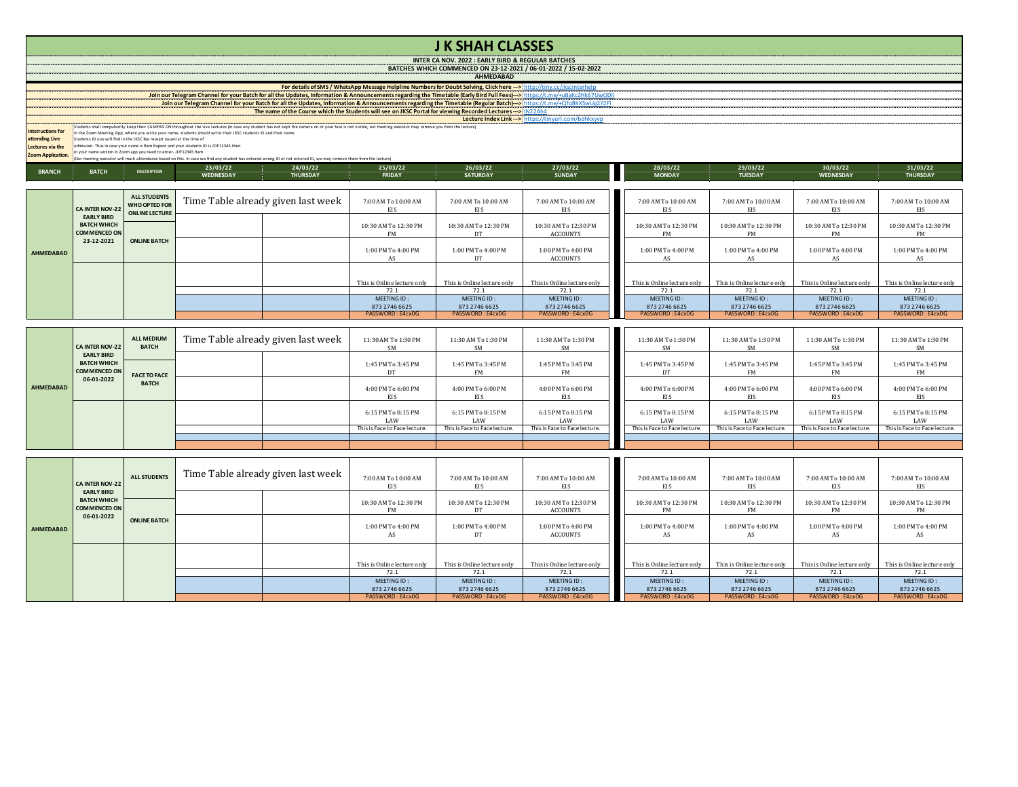| <b>JK SHAH CLASSES</b><br><b>INTER CA NOV. 2022 : EARLY BIRD &amp; REGULAR BATCHES</b><br>BATCHES WHICH COMMENCED ON 23-12-2021 / 06-01-2022 / 15-02-2022 |                                                                                                                                                                                                                                                                                                                                                                                                                                                                                                                                                                                                                                                                                                                                                                                                                                                                                                                                                                                                                                                                                                                                                                                                                                                                                                              |                                                                      |                                    |                                    |                                                            |                                                            |                                                            |                                                            |                                                            |                                                            |                                                            |  |
|-----------------------------------------------------------------------------------------------------------------------------------------------------------|--------------------------------------------------------------------------------------------------------------------------------------------------------------------------------------------------------------------------------------------------------------------------------------------------------------------------------------------------------------------------------------------------------------------------------------------------------------------------------------------------------------------------------------------------------------------------------------------------------------------------------------------------------------------------------------------------------------------------------------------------------------------------------------------------------------------------------------------------------------------------------------------------------------------------------------------------------------------------------------------------------------------------------------------------------------------------------------------------------------------------------------------------------------------------------------------------------------------------------------------------------------------------------------------------------------|----------------------------------------------------------------------|------------------------------------|------------------------------------|------------------------------------------------------------|------------------------------------------------------------|------------------------------------------------------------|------------------------------------------------------------|------------------------------------------------------------|------------------------------------------------------------|------------------------------------------------------------|--|
| <b>AHMEDABAD</b>                                                                                                                                          |                                                                                                                                                                                                                                                                                                                                                                                                                                                                                                                                                                                                                                                                                                                                                                                                                                                                                                                                                                                                                                                                                                                                                                                                                                                                                                              |                                                                      |                                    |                                    |                                                            |                                                            |                                                            |                                                            |                                                            |                                                            |                                                            |  |
| <b>Intstructions for</b><br>ttending Live<br>Lectures via the                                                                                             | For details of SMS / WhatsApp Message Helpline Numbers for Doubt Solving, Click here ---> http://tiny.cc/ikscinterhelp<br>Join our Telegram Channel for your Batch for all the Updates, Information & Announcements regarding the Timetable (Early Bird Full Fees) --> https://t.me/+uBaKcZHk67UwODII<br>Johnou Telegran Channel for your Bach for all the Undates Information & Announcements regarding the Timetable (Regular Bach) --> https://www.channel.channel.channel.channel.channel.channel.channel.channel.channel.channel.c<br>continuous continuous for a series of the Course which the Students will see on JKSC Portal for viewing Recorded Lectures --> 0022204<br>Lecture Index Link -- > https://tinyurl.com/bdhkxyvp<br>udents shall compulsorily keep their CAMERA ON throughout the Live Lectures (in case any student has not kept the camera on or your face is not visible, our meeting executor may remove you from the lecturel<br>the Zoom Meeting App, where you write your name, students should write their JKSC students ID and their name.<br>tudents ID you will find in the JKSC fee receipt issued at the time of<br>mission. Thus in case your name is Ram Kapoor and your students ID is JDF12345 then<br>your name section in Zoom app you need to enter-JDF12345 Ram |                                                                      |                                    |                                    |                                                            |                                                            |                                                            |                                                            |                                                            |                                                            |                                                            |  |
| Zoom Application.                                                                                                                                         | r meeting executor will mark attendance based on this. In case we find any student has entered wrong ID or not entered ID, we may remove them from the lecture)<br>31/03/22                                                                                                                                                                                                                                                                                                                                                                                                                                                                                                                                                                                                                                                                                                                                                                                                                                                                                                                                                                                                                                                                                                                                  |                                                                      |                                    |                                    |                                                            |                                                            |                                                            |                                                            |                                                            |                                                            |                                                            |  |
| <b>BRANCH</b>                                                                                                                                             | 23/03/22<br>24/03/22<br>25/03/22<br>26/03/22<br>27/03/22<br>28/03/22<br>29/03/22<br>30/03/22<br><b>BATCH</b><br><b>DESCRIPTION</b><br><b>MONDAY</b><br><b>TUESDAY</b><br><b>WEDNESDAY</b><br><b>THURSDAY</b><br><b>FRIDAY</b><br><b>SATURDAY</b><br><b>SUNDAY</b><br>WEDNESDAY<br><b>THURSDAY</b>                                                                                                                                                                                                                                                                                                                                                                                                                                                                                                                                                                                                                                                                                                                                                                                                                                                                                                                                                                                                            |                                                                      |                                    |                                    |                                                            |                                                            |                                                            |                                                            |                                                            |                                                            |                                                            |  |
|                                                                                                                                                           |                                                                                                                                                                                                                                                                                                                                                                                                                                                                                                                                                                                                                                                                                                                                                                                                                                                                                                                                                                                                                                                                                                                                                                                                                                                                                                              |                                                                      |                                    |                                    |                                                            |                                                            |                                                            |                                                            |                                                            |                                                            |                                                            |  |
|                                                                                                                                                           | CA INTER NOV-22<br><b>EARLY BIRD</b><br><b>BATCH WHICH</b><br>COMMENCED ON<br>23-12-2021                                                                                                                                                                                                                                                                                                                                                                                                                                                                                                                                                                                                                                                                                                                                                                                                                                                                                                                                                                                                                                                                                                                                                                                                                     | <b>ALL STUDENTS</b><br><b>WHO OPTED FOR</b><br><b>ONLINE LECTURE</b> |                                    | Time Table already given last week | 7:00 AM To 10:00 AM<br>EIS                                 | 7:00 AM To 10:00 AM<br>EIS                                 | 7:00 AM To 10:00 AM<br>EIS                                 | 7:00 AM To 10:00 AM<br>EIS                                 | 7:00 AM To 10:00 AM<br>EIS                                 | 7:00 AM To 10:00 AM<br>EIS                                 | 7:00 AM To 10:00 AM<br>EIS                                 |  |
|                                                                                                                                                           |                                                                                                                                                                                                                                                                                                                                                                                                                                                                                                                                                                                                                                                                                                                                                                                                                                                                                                                                                                                                                                                                                                                                                                                                                                                                                                              | <b>ONLINE BATCH</b>                                                  |                                    |                                    | 10:30 AM To 12:30 PM<br><b>FM</b>                          | 10:30 AM To 12:30 PM<br>DT                                 | 10:30 AM To 12:30 PM<br><b>ACCOUNTS</b>                    | 10:30 AM To 12:30 PM<br>FM                                 | 10:30 AM To 12:30 PM<br>FM                                 | 10:30 AM To 12:30 PM<br>FM                                 | 10:30 AM To 12:30 PM<br><b>FM</b>                          |  |
| <b>AHMEDABAD</b>                                                                                                                                          |                                                                                                                                                                                                                                                                                                                                                                                                                                                                                                                                                                                                                                                                                                                                                                                                                                                                                                                                                                                                                                                                                                                                                                                                                                                                                                              |                                                                      |                                    |                                    | 1:00 PM To 4:00 PM<br>AS                                   | 1:00 PM To 4:00 PM<br>DT                                   | 1:00 PM To 4:00 PM<br><b>ACCOUNTS</b>                      | 1:00 PM To 4:00 PM<br>AS                                   | 1:00 PM To 4:00 PM<br>AS                                   | 1:00 PM To 4:00 PM<br>AS                                   | 1:00 PM To 4:00 PM<br>AS                                   |  |
|                                                                                                                                                           |                                                                                                                                                                                                                                                                                                                                                                                                                                                                                                                                                                                                                                                                                                                                                                                                                                                                                                                                                                                                                                                                                                                                                                                                                                                                                                              |                                                                      |                                    |                                    | This is Online lecture only<br>72.1                        | This is Online lecture only<br>72.1                        | This is Online lecture only<br>72.1                        | This is Online lecture only<br>72.1                        | This is Online lecture only<br>72.1                        | This is Online lecture only<br>72.1                        | This is Online lecture only<br>72.1                        |  |
|                                                                                                                                                           |                                                                                                                                                                                                                                                                                                                                                                                                                                                                                                                                                                                                                                                                                                                                                                                                                                                                                                                                                                                                                                                                                                                                                                                                                                                                                                              |                                                                      |                                    |                                    | MEETING ID                                                 | MEETING ID:                                                | MEETING ID                                                 | MEETING ID                                                 | MEETING ID:                                                | MEETING ID:                                                | MEETING ID:                                                |  |
|                                                                                                                                                           |                                                                                                                                                                                                                                                                                                                                                                                                                                                                                                                                                                                                                                                                                                                                                                                                                                                                                                                                                                                                                                                                                                                                                                                                                                                                                                              |                                                                      |                                    |                                    | 873 2746 6625<br>PASSWORD : E4cx0G                         | 873 2746 6625<br>PASSWORD: F4cx0G                          | 873 2746 6625<br>PASSWORD: F4cx0                           | 873 2746 6625<br>PASSWORD: E4cx0G                          | 873 2746 6625<br>PASSWORD: E4cx0G                          | 873 2746 6625<br>PASSWORD: E4cx0G                          | 873 2746 6625<br>ASSWORD : E4cx00                          |  |
|                                                                                                                                                           |                                                                                                                                                                                                                                                                                                                                                                                                                                                                                                                                                                                                                                                                                                                                                                                                                                                                                                                                                                                                                                                                                                                                                                                                                                                                                                              |                                                                      |                                    |                                    |                                                            |                                                            |                                                            |                                                            |                                                            |                                                            |                                                            |  |
|                                                                                                                                                           | CA INTER NOV-22<br><b>EARLY BIRD</b><br><b>BATCH WHICH</b><br><b>COMMENCED ON</b><br>06-01-2022                                                                                                                                                                                                                                                                                                                                                                                                                                                                                                                                                                                                                                                                                                                                                                                                                                                                                                                                                                                                                                                                                                                                                                                                              | <b>ALL MEDIUM</b><br><b>BATCH</b>                                    |                                    | Time Table already given last week | 11:30 AM To 1:30 PM<br><b>SM</b>                           | 11:30 AM To 1:30 PM<br><b>SM</b>                           | 11:30 AM To 1:30 PM<br><b>SM</b>                           | 11:30 AM To 1:30 PM<br>SM                                  | 11:30 AM To 1:30 PM<br><b>SM</b>                           | 11:30 AM To 1:30 PM<br>SM                                  | 11:30 AM To 1:30 PM<br>SM                                  |  |
|                                                                                                                                                           |                                                                                                                                                                                                                                                                                                                                                                                                                                                                                                                                                                                                                                                                                                                                                                                                                                                                                                                                                                                                                                                                                                                                                                                                                                                                                                              | <b>FACE TO FACE</b><br><b>BATCH</b>                                  |                                    |                                    | 1:45 PM To 3:45 PM<br>DT                                   | 1:45 PM To 3:45 PM<br><b>FM</b>                            | 1:45 PM To 3:45 PM<br>FM                                   | 1:45 PM To 3:45 PM<br>DT                                   | 1:45 PM To 3:45 PM<br><b>FM</b>                            | 1:45 PM To 3:45 PM<br>FM                                   | 1:45 PM To 3:45 PM<br><b>FM</b>                            |  |
| <b>AHMEDABAD</b>                                                                                                                                          |                                                                                                                                                                                                                                                                                                                                                                                                                                                                                                                                                                                                                                                                                                                                                                                                                                                                                                                                                                                                                                                                                                                                                                                                                                                                                                              |                                                                      |                                    |                                    | 4:00 PM To 6:00 PM<br>EIS                                  | 4:00 PM To 6:00 PM<br>EIS                                  | 4:00 PM To 6:00 PM<br>EIS                                  | 4:00 PM To 6:00 PM<br>EIS                                  | 4:00 PM To 6:00 PM<br>EIS                                  | 4:00 PM To 6:00 PM<br>EIS                                  | 4:00 PM To 6:00 PM<br>EIS                                  |  |
|                                                                                                                                                           |                                                                                                                                                                                                                                                                                                                                                                                                                                                                                                                                                                                                                                                                                                                                                                                                                                                                                                                                                                                                                                                                                                                                                                                                                                                                                                              |                                                                      |                                    |                                    | 6:15 PM To 8:15 PM<br>LAW<br>This is Face to Face lecture. | 6:15 PM To 8:15 PM<br>LAW<br>This is Face to Face lecture. | 6:15 PM To 8:15 PM<br>LAW<br>This is Face to Face lecture. | 6:15 PM To 8:15 PM<br>LAW<br>This is Face to Face lecture. | 6:15 PM To 8:15 PM<br>LAW<br>This is Face to Face lecture. | 6:15 PM To 8:15 PM<br>LAW<br>This is Face to Face lecture. | 6:15 PM To 8:15 PM<br>LAW<br>This is Face to Face lecture. |  |
|                                                                                                                                                           |                                                                                                                                                                                                                                                                                                                                                                                                                                                                                                                                                                                                                                                                                                                                                                                                                                                                                                                                                                                                                                                                                                                                                                                                                                                                                                              |                                                                      |                                    |                                    |                                                            |                                                            |                                                            |                                                            |                                                            |                                                            |                                                            |  |
|                                                                                                                                                           |                                                                                                                                                                                                                                                                                                                                                                                                                                                                                                                                                                                                                                                                                                                                                                                                                                                                                                                                                                                                                                                                                                                                                                                                                                                                                                              |                                                                      |                                    |                                    |                                                            |                                                            |                                                            |                                                            |                                                            |                                                            |                                                            |  |
| <b>AHMEDABAD</b>                                                                                                                                          | CA INTER NOV-22<br><b>EARLY BIRD</b><br><b>BATCH WHICH</b><br><b>COMMENCED ON</b><br>06-01-2022                                                                                                                                                                                                                                                                                                                                                                                                                                                                                                                                                                                                                                                                                                                                                                                                                                                                                                                                                                                                                                                                                                                                                                                                              | <b>ALL STUDENTS</b>                                                  | Time Table already given last week |                                    | 7:00 AM To 10:00 AM<br>EIS                                 | 7:00 AM To 10:00 AM<br>EIS                                 | 7:00 AM To 10:00 AM<br><b>EIS</b>                          | 7:00 AM To 10:00 AM<br><b>EIS</b>                          | 7:00 AM To 10:00 AM<br>EIS                                 | 7:00 AM To 10:00 AM<br>EIS                                 | 7:00 AM To 10:00 AM<br><b>EIS</b>                          |  |
|                                                                                                                                                           |                                                                                                                                                                                                                                                                                                                                                                                                                                                                                                                                                                                                                                                                                                                                                                                                                                                                                                                                                                                                                                                                                                                                                                                                                                                                                                              |                                                                      |                                    |                                    | 10:30 AM To 12:30 PM<br><b>FM</b>                          | 10:30 AM To 12:30 PM<br>DT                                 | 10:30 AM To 12:30 PM<br><b>ACCOUNTS</b>                    | 10:30 AM To 12:30 PM<br>FM                                 | 10:30 AM To 12:30 PM<br><b>FM</b>                          | 10:30 AM To 12:30 PM<br><b>FM</b>                          | 10:30 AM To 12:30 PM<br><b>FM</b>                          |  |
|                                                                                                                                                           |                                                                                                                                                                                                                                                                                                                                                                                                                                                                                                                                                                                                                                                                                                                                                                                                                                                                                                                                                                                                                                                                                                                                                                                                                                                                                                              | <b>ONLINE BATCH</b>                                                  |                                    |                                    | 1:00 PM To 4:00 PM<br>AS                                   | 1:00 PM To 4:00 PM<br>DT                                   | 1:00 PM To 4:00 PM<br><b>ACCOUNTS</b>                      | 1:00 PM To 4:00 PM<br>AS                                   | 1:00 PM To 4:00 PM<br>AS                                   | 1:00 PM To 4:00 PM<br>AS                                   | 1:00 PM To 4:00 PM<br>AS                                   |  |
|                                                                                                                                                           |                                                                                                                                                                                                                                                                                                                                                                                                                                                                                                                                                                                                                                                                                                                                                                                                                                                                                                                                                                                                                                                                                                                                                                                                                                                                                                              |                                                                      |                                    |                                    | This is Online lecture only                                | This is Online lecture only                                | This is Online lecture only                                | This is Online lecture only                                | This is Online lecture only                                | This is Online lecture only                                | This is Online lecture only                                |  |
|                                                                                                                                                           |                                                                                                                                                                                                                                                                                                                                                                                                                                                                                                                                                                                                                                                                                                                                                                                                                                                                                                                                                                                                                                                                                                                                                                                                                                                                                                              |                                                                      |                                    |                                    | 72.1<br>MEETING ID:                                        | 72.1<br>MEETING ID:                                        | 72.1<br>MEETING ID                                         | 72.1<br>MEETING ID:                                        | 72.1<br>MEETING ID:                                        | 72.1<br>MEETING ID:                                        | 72.1<br>MEETING ID:                                        |  |
|                                                                                                                                                           |                                                                                                                                                                                                                                                                                                                                                                                                                                                                                                                                                                                                                                                                                                                                                                                                                                                                                                                                                                                                                                                                                                                                                                                                                                                                                                              |                                                                      |                                    |                                    | 873 2746 6625<br>PASSWORD: E4cx0G                          | 873 2746 6625<br>PASSWORD: E4cx0G                          | 873 2746 6625<br>PASSWORD: E4cx0G                          | 873 2746 6625<br>PASSWORD: E4cx0G                          | 873 2746 6625<br>PASSWORD: E4cx0G                          | 873 2746 6625<br>PASSWORD: E4cx0G                          | 873 2746 6625<br>PASSWORD: E4cx0G                          |  |